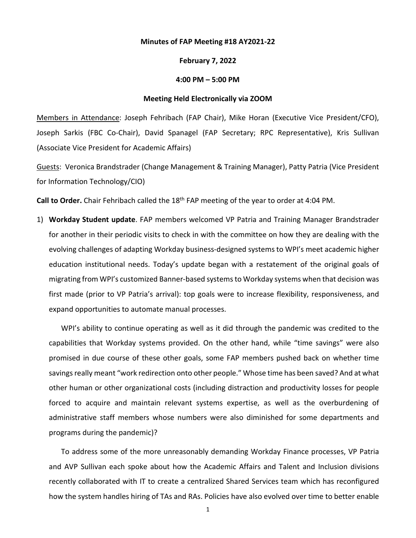## **Minutes of FAP Meeting #18 AY2021-22**

## **February 7, 2022**

## **4:00 PM – 5:00 PM**

## **Meeting Held Electronically via ZOOM**

Members in Attendance: Joseph Fehribach (FAP Chair), Mike Horan (Executive Vice President/CFO), Joseph Sarkis (FBC Co-Chair), David Spanagel (FAP Secretary; RPC Representative), Kris Sullivan (Associate Vice President for Academic Affairs)

Guests: Veronica Brandstrader (Change Management & Training Manager), Patty Patria (Vice President for Information Technology/CIO)

**Call to Order.** Chair Fehribach called the 18th FAP meeting of the year to order at 4:04 PM.

1) **Workday Student update**. FAP members welcomed VP Patria and Training Manager Brandstrader for another in their periodic visits to check in with the committee on how they are dealing with the evolving challenges of adapting Workday business-designed systems to WPI's meet academic higher education institutional needs. Today's update began with a restatement of the original goals of migrating from WPI's customized Banner-based systemsto Workday systems when that decision was first made (prior to VP Patria's arrival): top goals were to increase flexibility, responsiveness, and expand opportunities to automate manual processes.

WPI's ability to continue operating as well as it did through the pandemic was credited to the capabilities that Workday systems provided. On the other hand, while "time savings" were also promised in due course of these other goals, some FAP members pushed back on whether time savings really meant "work redirection onto other people." Whose time has been saved? And at what other human or other organizational costs (including distraction and productivity losses for people forced to acquire and maintain relevant systems expertise, as well as the overburdening of administrative staff members whose numbers were also diminished for some departments and programs during the pandemic)?

To address some of the more unreasonably demanding Workday Finance processes, VP Patria and AVP Sullivan each spoke about how the Academic Affairs and Talent and Inclusion divisions recently collaborated with IT to create a centralized Shared Services team which has reconfigured how the system handles hiring of TAs and RAs. Policies have also evolved over time to better enable

1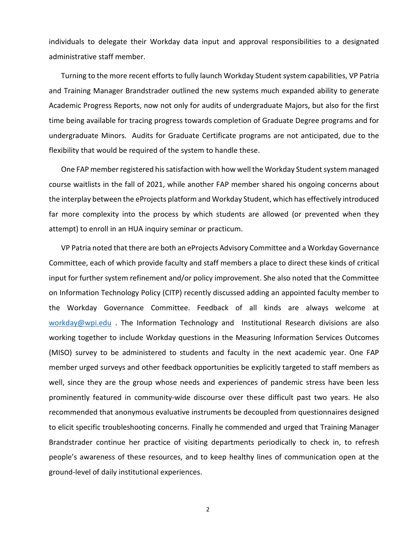individuals to delegate their Workday data input and approval responsibilities to a designated administrative staff member.

Turning to the more recent efforts to fully launch Workday Student system capabilities, VP Patria and Training Manager Brandstrader outlined the new systems much expanded ability to generate Academic Progress Reports, now not only for audits of undergraduate Majors, but also for the first time being available for tracing progress towards completion of Graduate Degree programs and for undergraduate Minors. Audits for Graduate Certificate programs are not anticipated, due to the flexibility that would be required of the system to handle these.

One FAP member registered his satisfaction with how well the Workday Student system managed course waitlists in the fall of 2021, while another FAP member shared his ongoing concerns about the interplay between the eProjects platform and Workday Student, which has effectively introduced far more complexity into the process by which students are allowed (or prevented when they attempt) to enroll in an HUA inquiry seminar or practicum.

VP Patria noted that there are both an eProjects Advisory Committee and a Workday Governance Committee, each of which provide faculty and staff members a place to direct these kinds of critical input for further system refinement and/or policy improvement. She also noted that the Committee on Information Technology Policy (CITP) recently discussed adding an appointed faculty member to the Workday Governance Committee. Feedback of all kinds are always welcome at [workday@wpi.edu](mailto:workday@wpi.edu). The Information Technology and Institutional Research divisions are also working together to include Workday questions in the Measuring Information Services Outcomes (MISO) survey to be administered to students and faculty in the next academic year. One FAP member urged surveys and other feedback opportunities be explicitly targeted to staff members as well, since they are the group whose needs and experiences of pandemic stress have been less prominently featured in community-wide discourse over these difficult past two years. He also recommended that anonymous evaluative instruments be decoupled from questionnaires designed to elicit specific troubleshooting concerns. Finally he commended and urged that Training Manager Brandstrader continue her practice of visiting departments periodically to check in, to refresh people's awareness of these resources, and to keep healthy lines of communication open at the ground-level of daily institutional experiences.

2